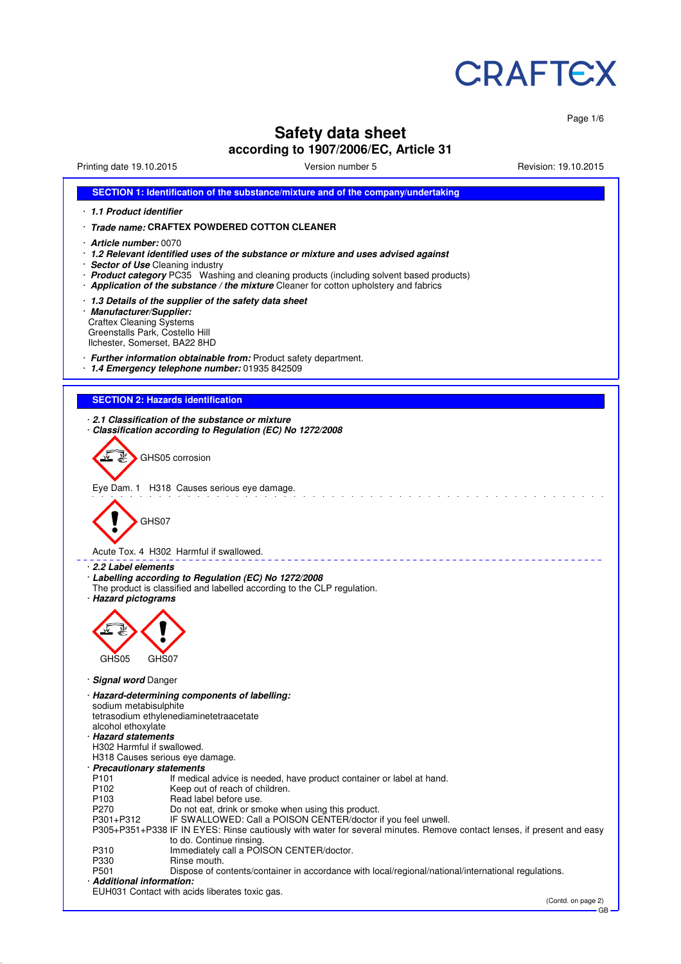

Page 1/6

# **Safety data sheet**

# **according to 1907/2006/EC, Article 31**

Printing date 19.10.2015 **Version number 5** Printing date 19.10.2015 **Revision: 19.10.2015** 

| SECTION 1: Identification of the substance/mixture and of the company/undertaking                                                                                                |  |  |  |  |
|----------------------------------------------------------------------------------------------------------------------------------------------------------------------------------|--|--|--|--|
| 1.1 Product identifier                                                                                                                                                           |  |  |  |  |
| Trade name: CRAFTEX POWDERED COTTON CLEANER                                                                                                                                      |  |  |  |  |
| <b>Article number: 0070</b>                                                                                                                                                      |  |  |  |  |
| 1.2 Relevant identified uses of the substance or mixture and uses advised against                                                                                                |  |  |  |  |
| · Sector of Use Cleaning industry                                                                                                                                                |  |  |  |  |
| · Product category PC35 Washing and cleaning products (including solvent based products)<br>Application of the substance / the mixture Cleaner for cotton upholstery and fabrics |  |  |  |  |
|                                                                                                                                                                                  |  |  |  |  |
| 1.3 Details of the supplier of the safety data sheet<br>· Manufacturer/Supplier:                                                                                                 |  |  |  |  |
| <b>Craftex Cleaning Systems</b>                                                                                                                                                  |  |  |  |  |
| Greenstalls Park, Costello Hill<br>Ilchester, Somerset, BA22 8HD                                                                                                                 |  |  |  |  |
|                                                                                                                                                                                  |  |  |  |  |
| Further information obtainable from: Product safety department.<br>1.4 Emergency telephone number: 01935 842509                                                                  |  |  |  |  |
|                                                                                                                                                                                  |  |  |  |  |
| <b>SECTION 2: Hazards identification</b>                                                                                                                                         |  |  |  |  |
|                                                                                                                                                                                  |  |  |  |  |
| 2.1 Classification of the substance or mixture                                                                                                                                   |  |  |  |  |
| Classification according to Regulation (EC) No 1272/2008                                                                                                                         |  |  |  |  |
| GHS05 corrosion                                                                                                                                                                  |  |  |  |  |
|                                                                                                                                                                                  |  |  |  |  |
|                                                                                                                                                                                  |  |  |  |  |
| Eye Dam. 1 H318 Causes serious eye damage.                                                                                                                                       |  |  |  |  |
|                                                                                                                                                                                  |  |  |  |  |
| GHS07                                                                                                                                                                            |  |  |  |  |
|                                                                                                                                                                                  |  |  |  |  |
| Acute Tox. 4 H302 Harmful if swallowed.                                                                                                                                          |  |  |  |  |
| 2.2 Label elements                                                                                                                                                               |  |  |  |  |
| · Labelling according to Regulation (EC) No 1272/2008                                                                                                                            |  |  |  |  |
| The product is classified and labelled according to the CLP regulation.<br>· Hazard pictograms                                                                                   |  |  |  |  |
|                                                                                                                                                                                  |  |  |  |  |
|                                                                                                                                                                                  |  |  |  |  |
|                                                                                                                                                                                  |  |  |  |  |
|                                                                                                                                                                                  |  |  |  |  |
| GHS05<br>GHS07                                                                                                                                                                   |  |  |  |  |
| · Signal word Danger                                                                                                                                                             |  |  |  |  |
| · Hazard-determining components of labelling:                                                                                                                                    |  |  |  |  |
| sodium metabisulphite                                                                                                                                                            |  |  |  |  |
| tetrasodium ethylenediaminetetraacetate<br>alcohol ethoxylate                                                                                                                    |  |  |  |  |
| · Hazard statements                                                                                                                                                              |  |  |  |  |
| H302 Harmful if swallowed.                                                                                                                                                       |  |  |  |  |
| H318 Causes serious eye damage.<br>· Precautionary statements                                                                                                                    |  |  |  |  |
| P101<br>If medical advice is needed, have product container or label at hand.                                                                                                    |  |  |  |  |
| P102<br>Keep out of reach of children.                                                                                                                                           |  |  |  |  |
| P103<br>Read label before use.<br>P270<br>Do not eat, drink or smoke when using this product.                                                                                    |  |  |  |  |
| IF SWALLOWED: Call a POISON CENTER/doctor if you feel unwell.<br>P301+P312                                                                                                       |  |  |  |  |
| P305+P351+P338 IF IN EYES: Rinse cautiously with water for several minutes. Remove contact lenses, if present and easy                                                           |  |  |  |  |
| to do. Continue rinsing.<br>Immediately call a POISON CENTER/doctor.<br>P310                                                                                                     |  |  |  |  |
| P330<br>Rinse mouth.                                                                                                                                                             |  |  |  |  |
| P501<br>Dispose of contents/container in accordance with local/regional/national/international regulations.<br>· Additional information:                                         |  |  |  |  |
|                                                                                                                                                                                  |  |  |  |  |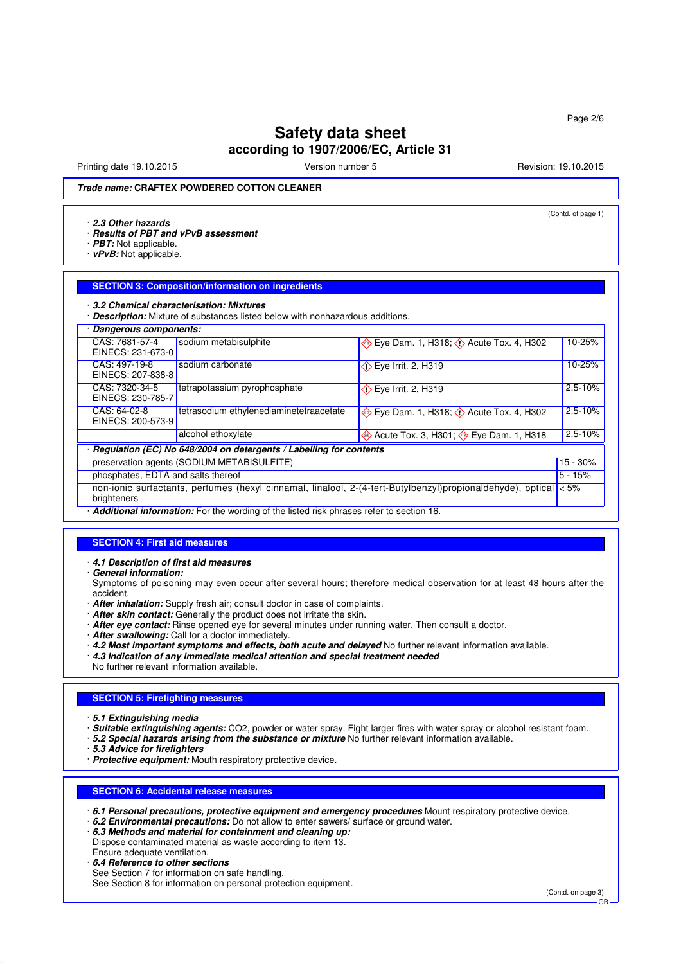# **Safety data sheet according to 1907/2006/EC, Article 31**

Printing date 19.10.2015 The Version number 5 Revision: 19.10.2015

(Contd. of page 1)

### **Trade name: CRAFTEX POWDERED COTTON CLEANER**

#### · **2.3 Other hazards**

- · **Results of PBT and vPvB assessment**
- · **PBT:** Not applicable.
- · **vPvB:** Not applicable.

#### **SECTION 3: Composition/information on ingredients**

#### · **3.2 Chemical characterisation: Mixtures**

· **Description:** Mixture of substances listed below with nonhazardous additions.

| Dangerous components:                                                                                                                    |                                                                                         |                                                 |             |  |
|------------------------------------------------------------------------------------------------------------------------------------------|-----------------------------------------------------------------------------------------|-------------------------------------------------|-------------|--|
| CAS: 7681-57-4<br>EINECS: 231-673-0                                                                                                      | sodium metabisulphite                                                                   | Eye Dam. 1, H318; $\Diamond$ Acute Tox. 4, H302 | 10-25%      |  |
| CAS: 497-19-8<br>EINECS: 207-838-8                                                                                                       | sodium carbonate                                                                        | $\Diamond$ Eye Irrit. 2, H319                   | 10-25%      |  |
| CAS: 7320-34-5<br>EINECS: 230-785-7                                                                                                      | tetrapotassium pyrophosphate<br>$\diamondsuit$ Eye Irrit. 2, H319                       |                                                 | $2.5 - 10%$ |  |
| CAS: 64-02-8<br>EINECS: 200-573-9                                                                                                        | tetrasodium ethylenediaminetetraacetate                                                 | Eye Dam. 1, H318; $\Diamond$ Acute Tox. 4, H302 | $2.5 - 10%$ |  |
|                                                                                                                                          | alcohol ethoxylate                                                                      | ♦ Acute Tox. 3, H301; ♦ Eye Dam. 1, H318        | $2.5 - 10%$ |  |
| · Regulation (EC) No 648/2004 on detergents / Labelling for contents                                                                     |                                                                                         |                                                 |             |  |
| preservation agents (SODIUM METABISULFITE)                                                                                               |                                                                                         |                                                 | $15 - 30%$  |  |
| phosphates, EDTA and salts thereof                                                                                                       |                                                                                         |                                                 | $5 - 15%$   |  |
| non-ionic surfactants, perfumes (hexyl cinnamal, linalool, 2-(4-tert-Butylbenzyl)propionaldehyde), optical $\langle$ = 5%<br>brighteners |                                                                                         |                                                 |             |  |
|                                                                                                                                          | Additional information: Ear the wording of the ligted rigk phreases refer to eastion 16 |                                                 |             |  |

#### · **Additional information:** For the wording of the listed risk phrases refer to section 16.

#### **SECTION 4: First aid measures**

- · **4.1 Description of first aid measures**
- · **General information:**

Symptoms of poisoning may even occur after several hours; therefore medical observation for at least 48 hours after the accident.

- · **After inhalation:** Supply fresh air; consult doctor in case of complaints.
- · **After skin contact:** Generally the product does not irritate the skin.
- · **After eye contact:** Rinse opened eye for several minutes under running water. Then consult a doctor.
- · **After swallowing:** Call for a doctor immediately.
- · **4.2 Most important symptoms and effects, both acute and delayed** No further relevant information available.
- · **4.3 Indication of any immediate medical attention and special treatment needed**
- No further relevant information available.

### **SECTION 5: Firefighting measures**

- · **5.1 Extinguishing media**
- · **Suitable extinguishing agents:** CO2, powder or water spray. Fight larger fires with water spray or alcohol resistant foam.
- · **5.2 Special hazards arising from the substance or mixture** No further relevant information available.
- · **5.3 Advice for firefighters**
- · **Protective equipment:** Mouth respiratory protective device.

#### **SECTION 6: Accidental release measures**

- · **6.1 Personal precautions, protective equipment and emergency procedures** Mount respiratory protective device.
- · **6.2 Environmental precautions:** Do not allow to enter sewers/ surface or ground water.
- · **6.3 Methods and material for containment and cleaning up:**
- Dispose contaminated material as waste according to item 13.
- Ensure adequate ventilation.
- · **6.4 Reference to other sections** See Section 7 for information on safe handling.

GB

See Section 8 for information on personal protection equipment.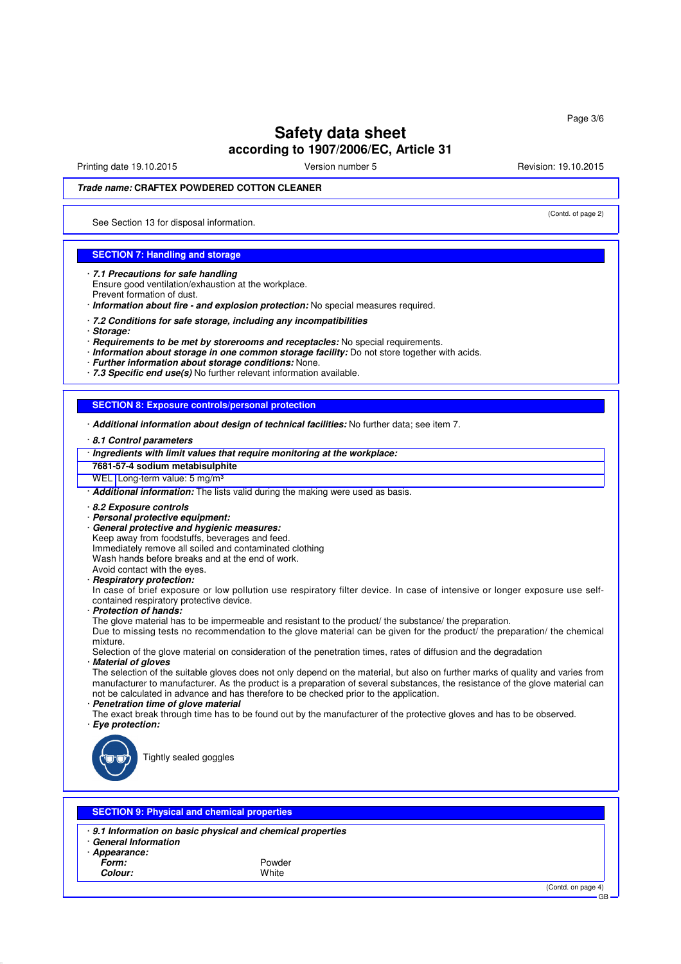# **Safety data sheet according to 1907/2006/EC, Article 31**

Printing date 19.10.2015 The Version number 5 Revision: 19.10.2015

(Contd. of page 2)

# **Trade name: CRAFTEX POWDERED COTTON CLEANER**

See Section 13 for disposal information.

#### **SECTION 7: Handling and storage**

· **7.1 Precautions for safe handling** Ensure good ventilation/exhaustion at the workplace. Prevent formation of dust.

· **Information about fire - and explosion protection:** No special measures required.

· **7.2 Conditions for safe storage, including any incompatibilities**

· **Storage:**

· **Requirements to be met by storerooms and receptacles:** No special requirements.

· **Information about storage in one common storage facility:** Do not store together with acids.

· **Further information about storage conditions:** None.

· **7.3 Specific end use(s)** No further relevant information available.

#### **SECTION 8: Exposure controls/personal protection**

· **Additional information about design of technical facilities:** No further data; see item 7.

· **8.1 Control parameters**

· **Ingredients with limit values that require monitoring at the workplace:**

**7681-57-4 sodium metabisulphite**

WEL Long-term value: 5 mg/m<sup>3</sup>

· **Additional information:** The lists valid during the making were used as basis.

#### · **8.2 Exposure controls**

· **Personal protective equipment:**

· **General protective and hygienic measures:**

Keep away from foodstuffs, beverages and feed.

Immediately remove all soiled and contaminated clothing

Wash hands before breaks and at the end of work. Avoid contact with the eyes.

# · **Respiratory protection:**

In case of brief exposure or low pollution use respiratory filter device. In case of intensive or longer exposure use selfcontained respiratory protective device.

· **Protection of hands:**

The glove material has to be impermeable and resistant to the product/ the substance/ the preparation.

Due to missing tests no recommendation to the glove material can be given for the product/ the preparation/ the chemical mixture.

Selection of the glove material on consideration of the penetration times, rates of diffusion and the degradation **Material of gloves** 

The selection of the suitable gloves does not only depend on the material, but also on further marks of quality and varies from manufacturer to manufacturer. As the product is a preparation of several substances, the resistance of the glove material can not be calculated in advance and has therefore to be checked prior to the application.

· **Penetration time of glove material**

The exact break through time has to be found out by the manufacturer of the protective gloves and has to be observed. · **Eye protection:**



Tightly sealed goggles

#### **SECTION 9: Physical and chemical properties**

· **9.1 Information on basic physical and chemical properties** · **General Information**

· **Appearance:**

**Form:** Powder **Colour:** White

(Contd. on page 4)

GB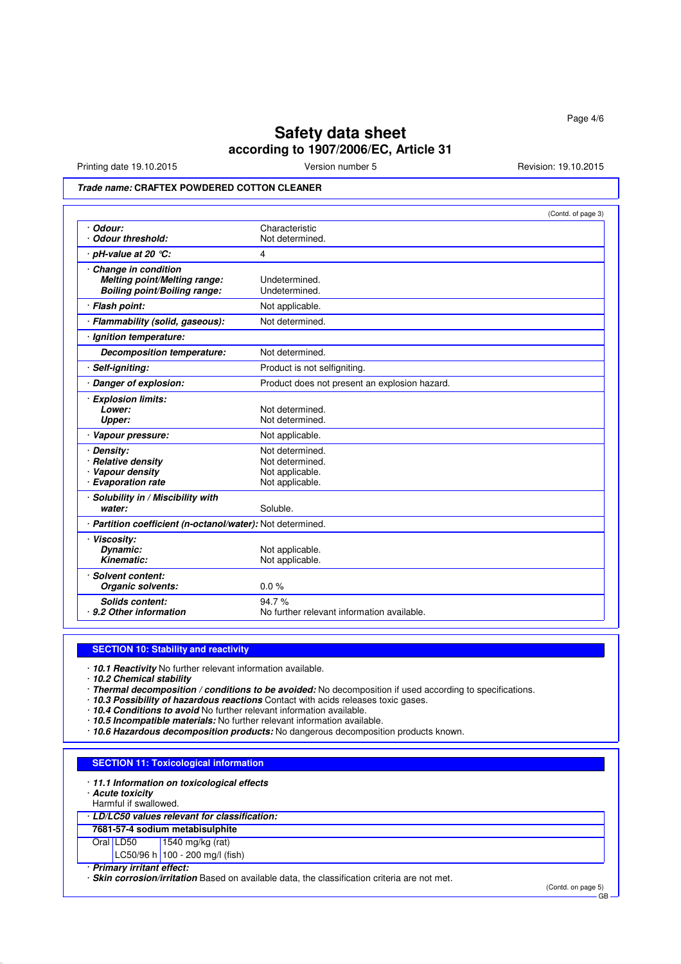# **Safety data sheet according to 1907/2006/EC, Article 31**

Printing date 19.10.2015 **Version number 5** Revision: 19.10.2015 **Revision: 19.10.2015** 

### **Trade name: CRAFTEX POWDERED COTTON CLEANER**

|                                                                                            | (Contd. of page 3)                                                       |
|--------------------------------------------------------------------------------------------|--------------------------------------------------------------------------|
| Odour:<br><b>Odour threshold:</b>                                                          | Characteristic<br>Not determined.                                        |
| · pH-value at 20 ℃:                                                                        | 4                                                                        |
| Change in condition<br>Melting point/Melting range:<br><b>Boiling point/Boiling range:</b> | Undetermined.<br>Undetermined.                                           |
| · Flash point:                                                                             | Not applicable.                                                          |
| · Flammability (solid, gaseous):                                                           | Not determined.                                                          |
| Ignition temperature:                                                                      |                                                                          |
| Decomposition temperature:                                                                 | Not determined.                                                          |
| · Self-igniting:                                                                           | Product is not selfigniting.                                             |
| · Danger of explosion:                                                                     | Product does not present an explosion hazard.                            |
| · Explosion limits:<br>Lower:<br>Upper:                                                    | Not determined.<br>Not determined.                                       |
| · Vapour pressure:                                                                         | Not applicable.                                                          |
| Density:<br>· Relative density<br>· Vapour density<br>· Evaporation rate                   | Not determined.<br>Not determined.<br>Not applicable.<br>Not applicable. |
| Solubility in / Miscibility with<br>water:                                                 | Soluble.                                                                 |
| · Partition coefficient (n-octanol/water): Not determined.                                 |                                                                          |
| · Viscosity:<br>Dynamic:<br>Kinematic:                                                     | Not applicable.<br>Not applicable.                                       |
| · Solvent content:<br>Organic solvents:                                                    | 0.0%                                                                     |
| <b>Solids content:</b><br>· 9.2 Other information                                          | 94.7%<br>No further relevant information available.                      |

#### **SECTION 10: Stability and reactivity**

· **10.1 Reactivity** No further relevant information available.

- · **10.2 Chemical stability**
- · **Thermal decomposition / conditions to be avoided:** No decomposition if used according to specifications.
- · **10.3 Possibility of hazardous reactions** Contact with acids releases toxic gases.
- · **10.4 Conditions to avoid** No further relevant information available.
- · **10.5 Incompatible materials:** No further relevant information available.
- · **10.6 Hazardous decomposition products:** No dangerous decomposition products known.

## **SECTION 11: Toxicological information**

· **11.1 Information on toxicological effects**

- · **Acute toxicity**
- Harmful if swallowed.

#### · **LD/LC50 values relevant for classification:**

**7681-57-4 sodium metabisulphite**

Oral LD50 1540 mg/kg (rat)

#### LC50/96 h 100 - 200 mg/l (fish)

· **Primary irritant effect:**

· **Skin corrosion/irritation** Based on available data, the classification criteria are not met.

(Contd. on page 5)

GB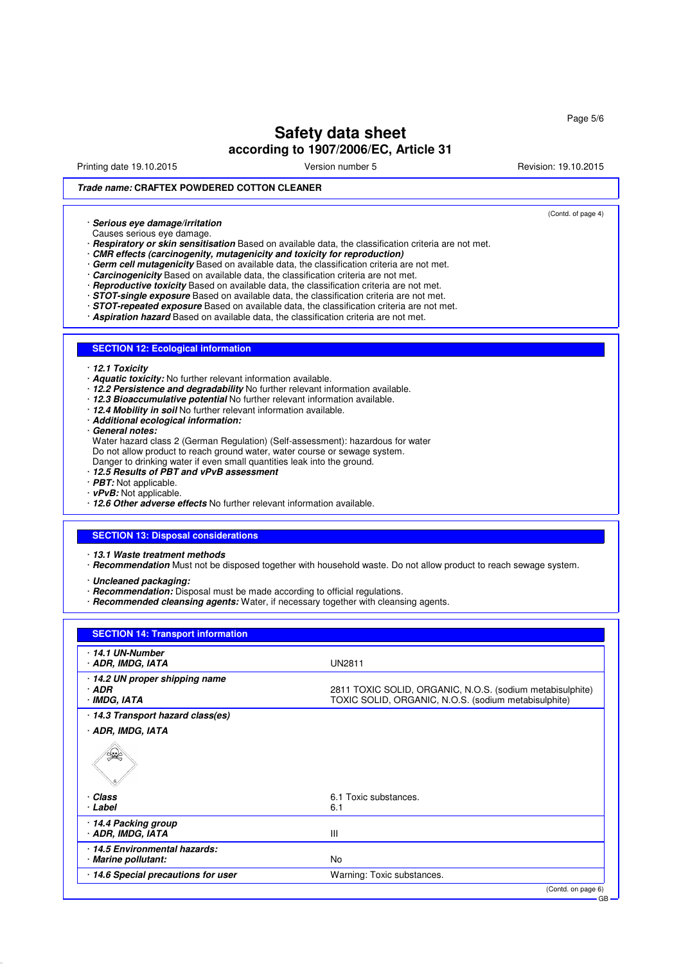Printing date 19.10.2015 The Version number 5 Revision: 19.10.2015

(Contd. of page 4)

Page 5/6

# **Trade name: CRAFTEX POWDERED COTTON CLEANER**

· **Serious eye damage/irritation**

Causes serious eye damage.

· **Respiratory or skin sensitisation** Based on available data, the classification criteria are not met.

- · **CMR effects (carcinogenity, mutagenicity and toxicity for reproduction)**
- Germ cell mutagenicity Based on available data, the classification criteria are not met.
- **Carcinogenicity** Based on available data, the classification criteria are not met.
- · **Reproductive toxicity** Based on available data, the classification criteria are not met.
- · **STOT-single exposure** Based on available data, the classification criteria are not met.
- · **STOT-repeated exposure** Based on available data, the classification criteria are not met.
- · **Aspiration hazard** Based on available data, the classification criteria are not met.

#### **SECTION 12: Ecological information**

· **12.1 Toxicity**

- · **Aquatic toxicity:** No further relevant information available.
- · **12.2 Persistence and degradability** No further relevant information available.
- · **12.3 Bioaccumulative potential** No further relevant information available.
- · **12.4 Mobility in soil** No further relevant information available.
- · **Additional ecological information:**
- · **General notes:**

Water hazard class 2 (German Regulation) (Self-assessment): hazardous for water Do not allow product to reach ground water, water course or sewage system.

- Danger to drinking water if even small quantities leak into the ground.
- · **12.5 Results of PBT and vPvB assessment**
- · **PBT:** Not applicable.
- · **vPvB:** Not applicable.
- · **12.6 Other adverse effects** No further relevant information available.

#### **SECTION 13: Disposal considerations**

- · **13.1 Waste treatment methods**
- · **Recommendation** Must not be disposed together with household waste. Do not allow product to reach sewage system.

· **Uncleaned packaging:**

- · **Recommendation:** Disposal must be made according to official regulations.
- · **Recommended cleansing agents:** Water, if necessary together with cleansing agents.

| <b>SECTION 14: Transport information</b>                  |                                                                                                                   |
|-----------------------------------------------------------|-------------------------------------------------------------------------------------------------------------------|
| · 14.1 UN-Number<br>· ADR, IMDG, IATA                     | <b>UN2811</b>                                                                                                     |
| ⋅ 14.2 UN proper shipping name<br>$·$ ADR<br>· IMDG, IATA | 2811 TOXIC SOLID, ORGANIC, N.O.S. (sodium metabisulphite)<br>TOXIC SOLID, ORGANIC, N.O.S. (sodium metabisulphite) |
| 14.3 Transport hazard class(es)                           |                                                                                                                   |
| · ADR, IMDG, IATA                                         |                                                                                                                   |
|                                                           |                                                                                                                   |
| · Class                                                   | 6.1 Toxic substances.                                                                                             |
| · Label                                                   | 6.1                                                                                                               |
| 14.4 Packing group<br>· ADR, IMDG, IATA                   | Ш                                                                                                                 |
| 14.5 Environmental hazards:<br>· Marine pollutant:        | <b>No</b>                                                                                                         |
| 14.6 Special precautions for user                         | Warning: Toxic substances.                                                                                        |
|                                                           | (Contd. on page 6)                                                                                                |
|                                                           |                                                                                                                   |